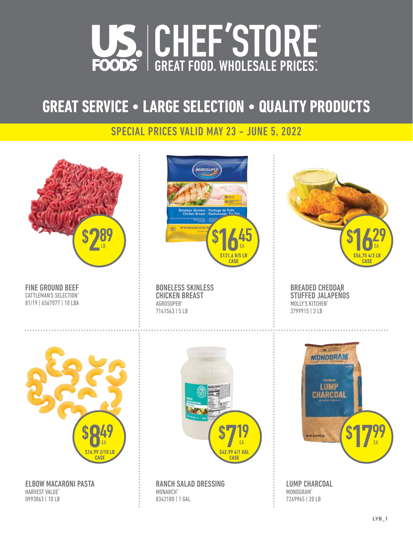

# **GREAT SERVICE • LARGE SELECTION • QUALITY PRODUCTS**

#### SPECIAL PRICES VALID MAY 23 - JUNE 5, 2022

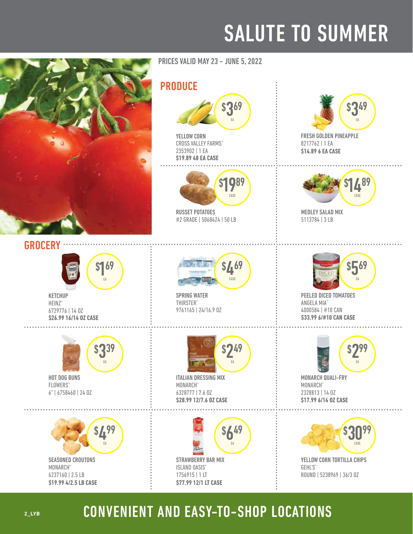# SALUTE TO SUMMER



SEASONED CROUTONS MONARCH® 6237160 | 2.5 LB **\$19.99 4/2.5 LB CASE**  PRICES VALID MAY 23 - JUNE 5, 2022

#### PRODUCE



YELLOW CORN CROSS VALLEY FARMS® 2353902 | 1 EA **\$19.89 48 EA CASE** 



RUSSET POTATOES #2 GRADE | 5068424 | 50 LB



SPRING WATER **THIRSTER®** 9761165 | 24/16.9 OZ



ITALIAN DRESSING MIX MONARCH® 6328777 | 7.6 OZ **\$28.99 12/7.6 OZ CASE** 





FRESH GOLDEN PINEAPPLE 8217762 | 1 EA **\$14.89 6 EA CASE** 



MEDLEY SALAD MIX 5113784 | 3 LB



PEELED DICED TOMATOES ANGELA MIA® 4000584 | #10 CAN **\$33.99 6/#10 CAN CASE** 



MONARCH QUALI-FRY **MONARCH®** 2328813 | 14 OZ **\$17.99 6/14 OZ CASE** 



#### YELLOW CORN TORTILLA CHIPS **GEHL'S®** ROUND | 5238969 | 36/3 OZ

#### **2\_LYB**

### CONVENIENT AND EASY-TO-SHOP LOCATIONS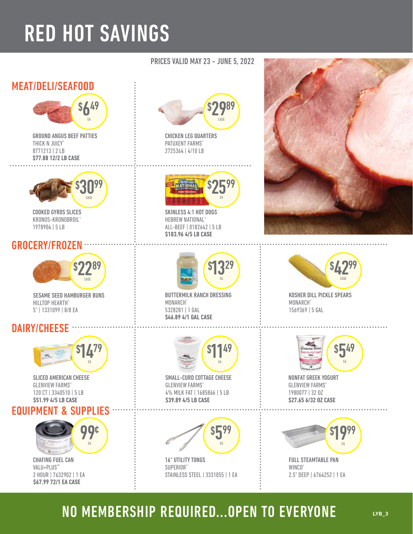# RED HOT SAVINGS

#### MEAT/DELI/SEAFOOD



GROUND ANGUS BEEF PATTIES THICK N JUICY® 8771213 | 2 LB **\$77.88 12/2 LB CASE** 



COOKED GYROS SLICES KRONOS-KRONOBROIL® 1978904 | 5 LB

#### GROCERY/FROZEN



SESAME SEED HAMBURGER BUNS HILLTOP HEARTH® 5" | 1331099 | 8/8 EA

#### DAIRY/CHEESE ·



SLICED AMERICAN CHEESE **GLENVIEW FARMS®** 120 CT | 3340510 | 5 LB **\$51.99 4/5 LB CASE** 

#### EQUIPMENT & SUPPLIES



#### CHAFING FUEL CAN VALU+PLUS™ 2 HOUR | 7632902 | 1 EA **\$67.99 72/1 EA CASE**





EA

BUTTERMILK RANCH DRESSING

**\$46.89 4/1 GAL CASE** 

MONARCH® 5328281 | 1 GAL

PRICES VALID MAY 23 - JUNE 5, 2022

\$

\$

2599

EA

\$ 1329

EA

2989 CASE

SKINLESS 4:1 HOT DOGS HEBREW NATIONAL® ALL-BEEF | 0182642 | 5 LB

CHICKEN LEG QUARTERS PATUXENT FARMS® 2725364 | 4/10 LB

**\$103.96 4/5 LB CASE** 

**\$39.89 4/5 LB CASE**  SMALL-CURD COTTAGE CHEESE **GLENVIEW FARMS®** 4% MILK FAT | 1685866 | 5 LB



16" UTILITY TONGS SUPERIOR® STAINLESS STEEL | 3331055 | 1 EA





KOSHER DILL PICKLE SPEARS MONARCH® 1569369 | 5 GAL



**\$27.65 6/32 OZ CASE**  NONFAT GREEK YOGURT **GLENVIEW FARMS®** 1980077 | 32 OZ



FULL STEAMTABLE PAN WINCO<sup>®</sup> 2.5" DEEP | 6764252 | 1 EA

## NO MEMBERSHIP REQUIRED...OPEN TO EVERYONE